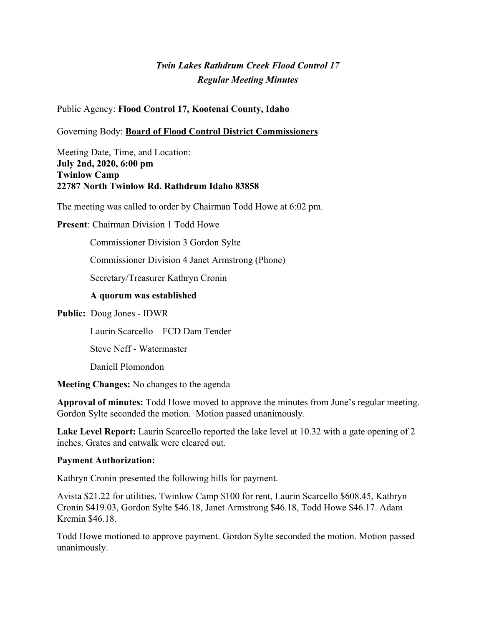# *Twin Lakes Rathdrum Creek Flood Control 17 Regular Meeting Minutes*

Public Agency: **Flood Control 17, Kootenai County, Idaho**

Governing Body: **Board of Flood Control District Commissioners**

Meeting Date, Time, and Location: **July 2nd, 2020, 6:00 pm Twinlow Camp 22787 North Twinlow Rd. Rathdrum Idaho 83858**

The meeting was called to order by Chairman Todd Howe at 6:02 pm.

**Present**: Chairman Division 1 Todd Howe

Commissioner Division 3 Gordon Sylte

Commissioner Division 4 Janet Armstrong (Phone)

Secretary/Treasurer Kathryn Cronin

#### **A quorum was established**

**Public:** Doug Jones - IDWR

Laurin Scarcello – FCD Dam Tender

Steve Neff - Watermaster

Daniell Plomondon

**Meeting Changes:** No changes to the agenda

**Approval of minutes:** Todd Howe moved to approve the minutes from June's regular meeting. Gordon Sylte seconded the motion. Motion passed unanimously.

Lake Level Report: Laurin Scarcello reported the lake level at 10.32 with a gate opening of 2 inches. Grates and catwalk were cleared out.

#### **Payment Authorization:**

Kathryn Cronin presented the following bills for payment.

Avista \$21.22 for utilities, Twinlow Camp \$100 for rent, Laurin Scarcello \$608.45, Kathryn Cronin \$419.03, Gordon Sylte \$46.18, Janet Armstrong \$46.18, Todd Howe \$46.17. Adam Kremin \$46.18.

Todd Howe motioned to approve payment. Gordon Sylte seconded the motion. Motion passed unanimously.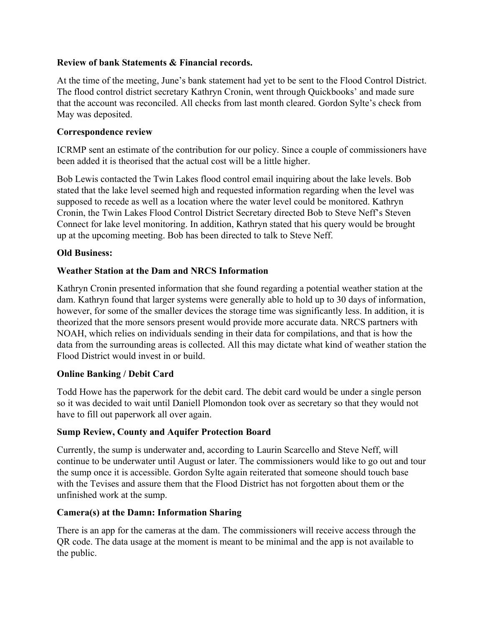## **Review of bank Statements & Financial records.**

At the time of the meeting, June's bank statement had yet to be sent to the Flood Control District. The flood control district secretary Kathryn Cronin, went through Quickbooks' and made sure that the account was reconciled. All checks from last month cleared. Gordon Sylte's check from May was deposited.

## **Correspondence review**

ICRMP sent an estimate of the contribution for our policy. Since a couple of commissioners have been added it is theorised that the actual cost will be a little higher.

Bob Lewis contacted the Twin Lakes flood control email inquiring about the lake levels. Bob stated that the lake level seemed high and requested information regarding when the level was supposed to recede as well as a location where the water level could be monitored. Kathryn Cronin, the Twin Lakes Flood Control District Secretary directed Bob to Steve Neff's Steven Connect for lake level monitoring. In addition, Kathryn stated that his query would be brought up at the upcoming meeting. Bob has been directed to talk to Steve Neff.

# **Old Business:**

# **Weather Station at the Dam and NRCS Information**

Kathryn Cronin presented information that she found regarding a potential weather station at the dam. Kathryn found that larger systems were generally able to hold up to 30 days of information, however, for some of the smaller devices the storage time was significantly less. In addition, it is theorized that the more sensors present would provide more accurate data. NRCS partners with NOAH, which relies on individuals sending in their data for compilations, and that is how the data from the surrounding areas is collected. All this may dictate what kind of weather station the Flood District would invest in or build.

#### **Online Banking / Debit Card**

Todd Howe has the paperwork for the debit card. The debit card would be under a single person so it was decided to wait until Daniell Plomondon took over as secretary so that they would not have to fill out paperwork all over again.

#### **Sump Review, County and Aquifer Protection Board**

Currently, the sump is underwater and, according to Laurin Scarcello and Steve Neff, will continue to be underwater until August or later. The commissioners would like to go out and tour the sump once it is accessible. Gordon Sylte again reiterated that someone should touch base with the Tevises and assure them that the Flood District has not forgotten about them or the unfinished work at the sump.

#### **Camera(s) at the Damn: Information Sharing**

There is an app for the cameras at the dam. The commissioners will receive access through the QR code. The data usage at the moment is meant to be minimal and the app is not available to the public.